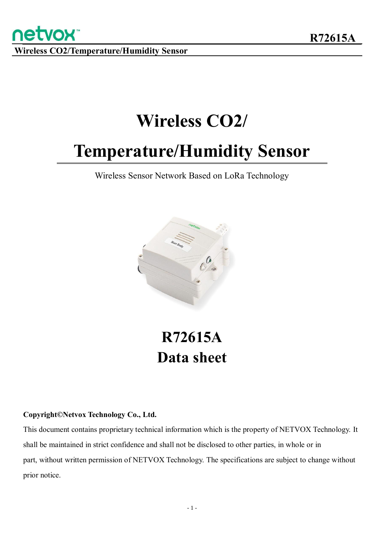**netvox** 

# **Wireless CO2/**

# **Temperature/Humidity Sensor**

Wireless Sensor Network Based on LoRa Technology



# **R72615A Data sheet**

#### **Copyright©Netvox Technology Co., Ltd.**

This document contains proprietary technical information which is the property of NETVOX Technology. It shall be maintained in strict confidence and shall not be disclosed to other parties, in whole or in part, without written permission of NETVOX Technology. The specifications are subject to change without prior notice.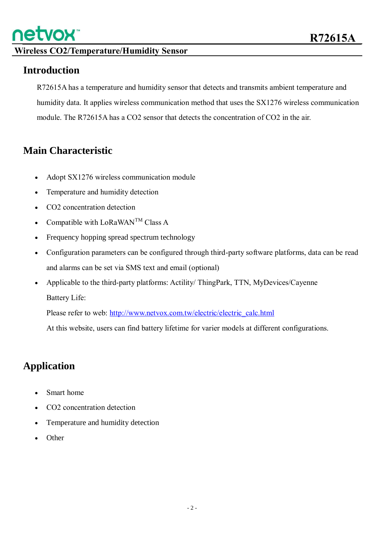

#### **Introduction**

R72615A has a temperature and humidity sensor that detects and transmits ambient temperature and humidity data. It applies wireless communication method that uses the SX1276 wireless communication module. The R72615A has a CO2 sensor that detects the concentration of CO2 in the air.

#### **Main Characteristic**

- Adopt SX1276 wireless communication module
- Temperature and humidity detection
- CO2 concentration detection
- Compatible with  $LoRaWAN^{TM}$  Class A
- Frequency hopping spread spectrum technology
- Configuration parameters can be configured through third-party software platforms, data can be read and alarms can be set via SMS text and email (optional)
- Applicable to the third-party platforms: Actility/ ThingPark, TTN, MyDevices/Cayenne Battery Life:

Please refer to web: [http://www.netvox.com.tw/electric/electric\\_calc.html](http://www.netvox.com.tw/electric/electric_calc.html)

At this website, users can find battery lifetime for varier models at different configurations.

#### **Application**

- Smart home
- CO2 concentration detection
- Temperature and humidity detection
- **Other**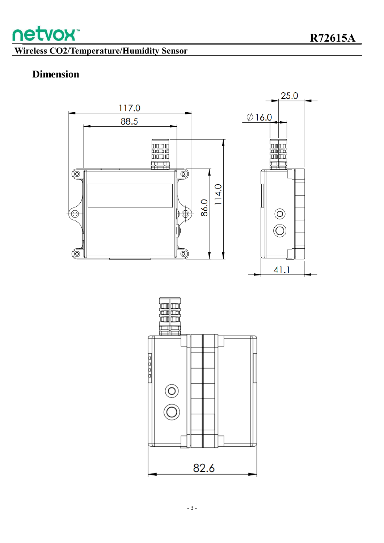

### **Dimension**



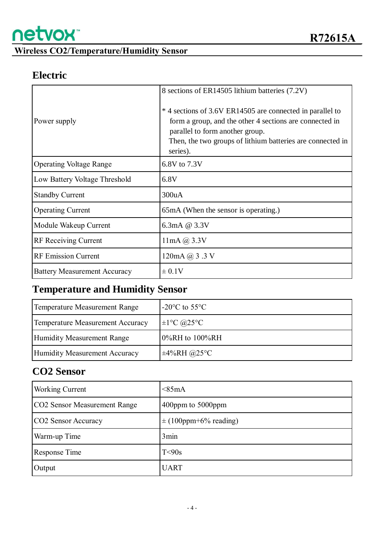

#### **Electric**

| Power supply                        | 8 sections of ER14505 lithium batteries (7.2V)<br>*4 sections of 3.6V ER14505 are connected in parallel to<br>form a group, and the other 4 sections are connected in<br>parallel to form another group.<br>Then, the two groups of lithium batteries are connected in<br>series). |
|-------------------------------------|------------------------------------------------------------------------------------------------------------------------------------------------------------------------------------------------------------------------------------------------------------------------------------|
| <b>Operating Voltage Range</b>      | 6.8V to 7.3V                                                                                                                                                                                                                                                                       |
| Low Battery Voltage Threshold       | 6.8V                                                                                                                                                                                                                                                                               |
| <b>Standby Current</b>              | 300uA                                                                                                                                                                                                                                                                              |
| <b>Operating Current</b>            | 65mA (When the sensor is operating.)                                                                                                                                                                                                                                               |
| Module Wakeup Current               | 6.3mA @ 3.3V                                                                                                                                                                                                                                                                       |
| <b>RF</b> Receiving Current         | $11mA$ $@3.3V$                                                                                                                                                                                                                                                                     |
| <b>RF Emission Current</b>          | 120mA @ 3.3 V                                                                                                                                                                                                                                                                      |
| <b>Battery Measurement Accuracy</b> | $\pm 0.1V$                                                                                                                                                                                                                                                                         |

# **Temperature and Humidity Sensor**

| Temperature Measurement Range    | $-20^{\circ}$ C to 55 $^{\circ}$ C |
|----------------------------------|------------------------------------|
| Temperature Measurement Accuracy | $\pm 1$ °C @25°C                   |
| Humidity Measurement Range       | $0\%RH$ to $100\%RH$               |
| Humidity Measurement Accuracy    | $\pm 4\%$ RH @25°C                 |

# **CO2 Sensor**

| <b>Working Current</b>       | $<$ 85mA                   |
|------------------------------|----------------------------|
| CO2 Sensor Measurement Range | $400$ ppm to $5000$ ppm    |
| CO2 Sensor Accuracy          | $\pm (100$ ppm+6% reading) |
| Warm-up Time                 | 3min                       |
| Response Time                | T<90s                      |
| Output                       | <b>UART</b>                |